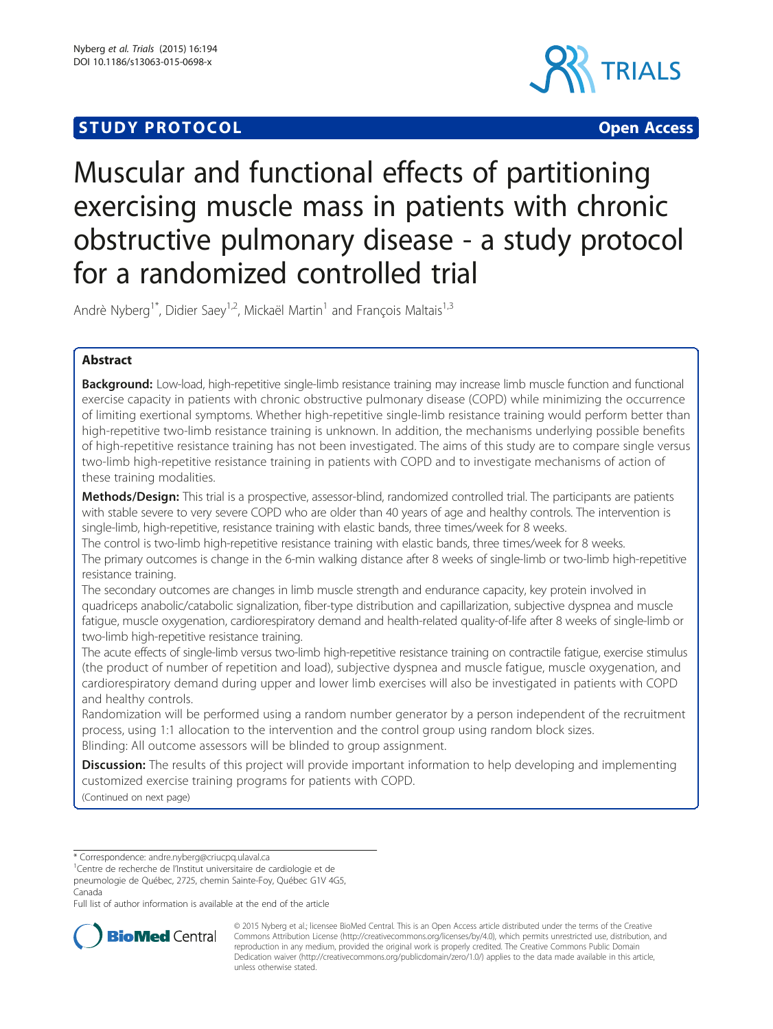# **STUDY PROTOCOL** CONTROL CONTROL CONTROL CONTROL CONTROL CONTROL CONTROL CONTROL CONTROL CONTROL CONTROL CONTROL CONTROL CONTROL CONTROL CONTROL CONTROL CONTROL CONTROL CONTROL CONTROL CONTROL CONTROL CONTROL CONTROL CONTR



# Muscular and functional effects of partitioning exercising muscle mass in patients with chronic obstructive pulmonary disease - a study protocol for a randomized controlled trial

Andrè Nyberg<sup>1\*</sup>, Didier Saey<sup>1,2</sup>, Mickaël Martin<sup>1</sup> and Francois Maltais<sup>1,3</sup>

# Abstract

Background: Low-load, high-repetitive single-limb resistance training may increase limb muscle function and functional exercise capacity in patients with chronic obstructive pulmonary disease (COPD) while minimizing the occurrence of limiting exertional symptoms. Whether high-repetitive single-limb resistance training would perform better than high-repetitive two-limb resistance training is unknown. In addition, the mechanisms underlying possible benefits of high-repetitive resistance training has not been investigated. The aims of this study are to compare single versus two-limb high-repetitive resistance training in patients with COPD and to investigate mechanisms of action of these training modalities.

Methods/Design: This trial is a prospective, assessor-blind, randomized controlled trial. The participants are patients with stable severe to very severe COPD who are older than 40 years of age and healthy controls. The intervention is single-limb, high-repetitive, resistance training with elastic bands, three times/week for 8 weeks.

The control is two-limb high-repetitive resistance training with elastic bands, three times/week for 8 weeks. The primary outcomes is change in the 6-min walking distance after 8 weeks of single-limb or two-limb high-repetitive resistance training.

The secondary outcomes are changes in limb muscle strength and endurance capacity, key protein involved in quadriceps anabolic/catabolic signalization, fiber-type distribution and capillarization, subjective dyspnea and muscle fatigue, muscle oxygenation, cardiorespiratory demand and health-related quality-of-life after 8 weeks of single-limb or two-limb high-repetitive resistance training.

The acute effects of single-limb versus two-limb high-repetitive resistance training on contractile fatigue, exercise stimulus (the product of number of repetition and load), subjective dyspnea and muscle fatigue, muscle oxygenation, and cardiorespiratory demand during upper and lower limb exercises will also be investigated in patients with COPD and healthy controls.

Randomization will be performed using a random number generator by a person independent of the recruitment process, using 1:1 allocation to the intervention and the control group using random block sizes. Blinding: All outcome assessors will be blinded to group assignment.

**Discussion:** The results of this project will provide important information to help developing and implementing customized exercise training programs for patients with COPD.

(Continued on next page)

\* Correspondence: [andre.nyberg@criucpq.ulaval.ca](mailto:andre.nyberg@criucpq.ulaval.ca) <sup>1</sup>

<sup>1</sup>Centre de recherche de l'Institut universitaire de cardiologie et de

pneumologie de Québec, 2725, chemin Sainte-Foy, Québec G1V 4G5, Canada

Full list of author information is available at the end of the article



© 2015 Nyberg et al.; licensee BioMed Central. This is an Open Access article distributed under the terms of the Creative Commons Attribution License [\(http://creativecommons.org/licenses/by/4.0\)](http://creativecommons.org/licenses/by/4.0), which permits unrestricted use, distribution, and reproduction in any medium, provided the original work is properly credited. The Creative Commons Public Domain Dedication waiver [\(http://creativecommons.org/publicdomain/zero/1.0/](http://creativecommons.org/publicdomain/zero/1.0/)) applies to the data made available in this article, unless otherwise stated.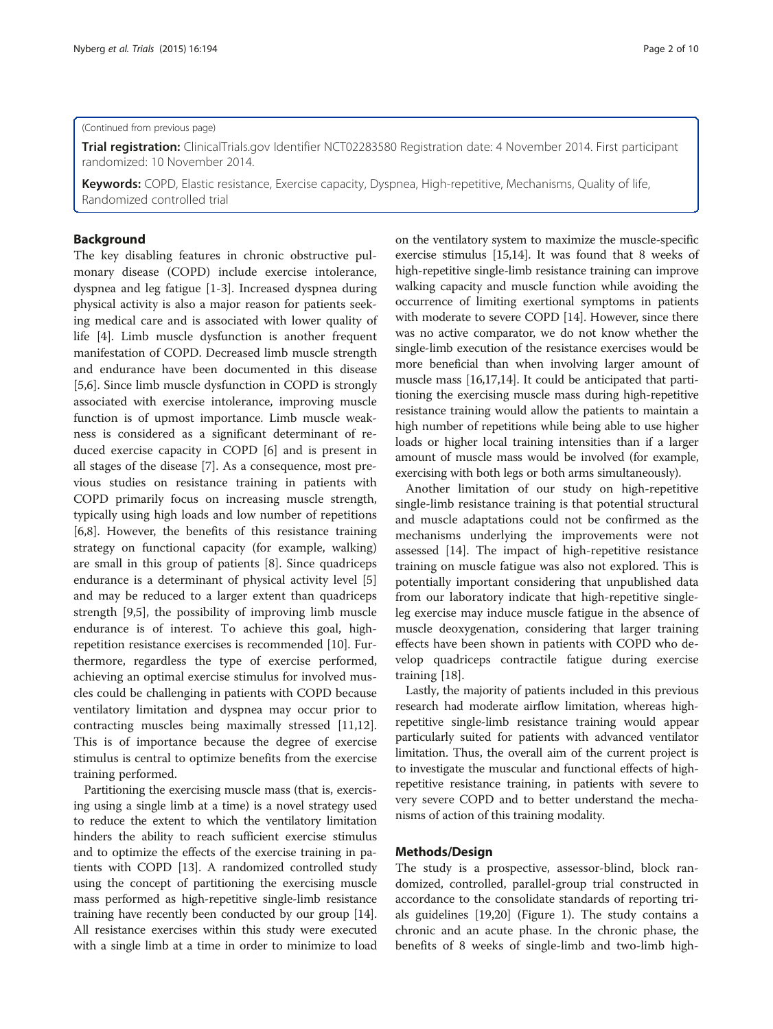#### (Continued from previous page)

Trial registration: ClinicalTrials.gov Identifier [NCT02283580](https://clinicaltrials.gov/ct2/show/NCT02283580) Registration date: 4 November 2014. First participant randomized: 10 November 2014.

Keywords: COPD, Elastic resistance, Exercise capacity, Dyspnea, High-repetitive, Mechanisms, Quality of life, Randomized controlled trial

#### Background

The key disabling features in chronic obstructive pulmonary disease (COPD) include exercise intolerance, dyspnea and leg fatigue [[1-3](#page-8-0)]. Increased dyspnea during physical activity is also a major reason for patients seeking medical care and is associated with lower quality of life [[4\]](#page-8-0). Limb muscle dysfunction is another frequent manifestation of COPD. Decreased limb muscle strength and endurance have been documented in this disease [[5,6\]](#page-8-0). Since limb muscle dysfunction in COPD is strongly associated with exercise intolerance, improving muscle function is of upmost importance. Limb muscle weakness is considered as a significant determinant of reduced exercise capacity in COPD [\[6\]](#page-8-0) and is present in all stages of the disease [\[7](#page-8-0)]. As a consequence, most previous studies on resistance training in patients with COPD primarily focus on increasing muscle strength, typically using high loads and low number of repetitions [[6,8\]](#page-8-0). However, the benefits of this resistance training strategy on functional capacity (for example, walking) are small in this group of patients [[8\]](#page-8-0). Since quadriceps endurance is a determinant of physical activity level [\[5](#page-8-0)] and may be reduced to a larger extent than quadriceps strength [[9,5\]](#page-8-0), the possibility of improving limb muscle endurance is of interest. To achieve this goal, highrepetition resistance exercises is recommended [\[10\]](#page-8-0). Furthermore, regardless the type of exercise performed, achieving an optimal exercise stimulus for involved muscles could be challenging in patients with COPD because ventilatory limitation and dyspnea may occur prior to contracting muscles being maximally stressed [\[11,12](#page-8-0)]. This is of importance because the degree of exercise stimulus is central to optimize benefits from the exercise training performed.

Partitioning the exercising muscle mass (that is, exercising using a single limb at a time) is a novel strategy used to reduce the extent to which the ventilatory limitation hinders the ability to reach sufficient exercise stimulus and to optimize the effects of the exercise training in patients with COPD [\[13\]](#page-8-0). A randomized controlled study using the concept of partitioning the exercising muscle mass performed as high-repetitive single-limb resistance training have recently been conducted by our group [[14](#page-8-0)]. All resistance exercises within this study were executed with a single limb at a time in order to minimize to load

on the ventilatory system to maximize the muscle-specific exercise stimulus [[15,14\]](#page-8-0). It was found that 8 weeks of high-repetitive single-limb resistance training can improve walking capacity and muscle function while avoiding the occurrence of limiting exertional symptoms in patients with moderate to severe COPD [\[14\]](#page-8-0). However, since there was no active comparator, we do not know whether the single-limb execution of the resistance exercises would be more beneficial than when involving larger amount of muscle mass [\[16,17,14](#page-8-0)]. It could be anticipated that partitioning the exercising muscle mass during high-repetitive resistance training would allow the patients to maintain a high number of repetitions while being able to use higher loads or higher local training intensities than if a larger amount of muscle mass would be involved (for example, exercising with both legs or both arms simultaneously).

Another limitation of our study on high-repetitive single-limb resistance training is that potential structural and muscle adaptations could not be confirmed as the mechanisms underlying the improvements were not assessed [[14](#page-8-0)]. The impact of high-repetitive resistance training on muscle fatigue was also not explored. This is potentially important considering that unpublished data from our laboratory indicate that high-repetitive singleleg exercise may induce muscle fatigue in the absence of muscle deoxygenation, considering that larger training effects have been shown in patients with COPD who develop quadriceps contractile fatigue during exercise training [[18\]](#page-8-0).

Lastly, the majority of patients included in this previous research had moderate airflow limitation, whereas highrepetitive single-limb resistance training would appear particularly suited for patients with advanced ventilator limitation. Thus, the overall aim of the current project is to investigate the muscular and functional effects of highrepetitive resistance training, in patients with severe to very severe COPD and to better understand the mechanisms of action of this training modality.

#### Methods/Design

The study is a prospective, assessor-blind, block randomized, controlled, parallel-group trial constructed in accordance to the consolidate standards of reporting trials guidelines [\[19,20\]](#page-8-0) (Figure [1](#page-2-0)). The study contains a chronic and an acute phase. In the chronic phase, the benefits of 8 weeks of single-limb and two-limb high-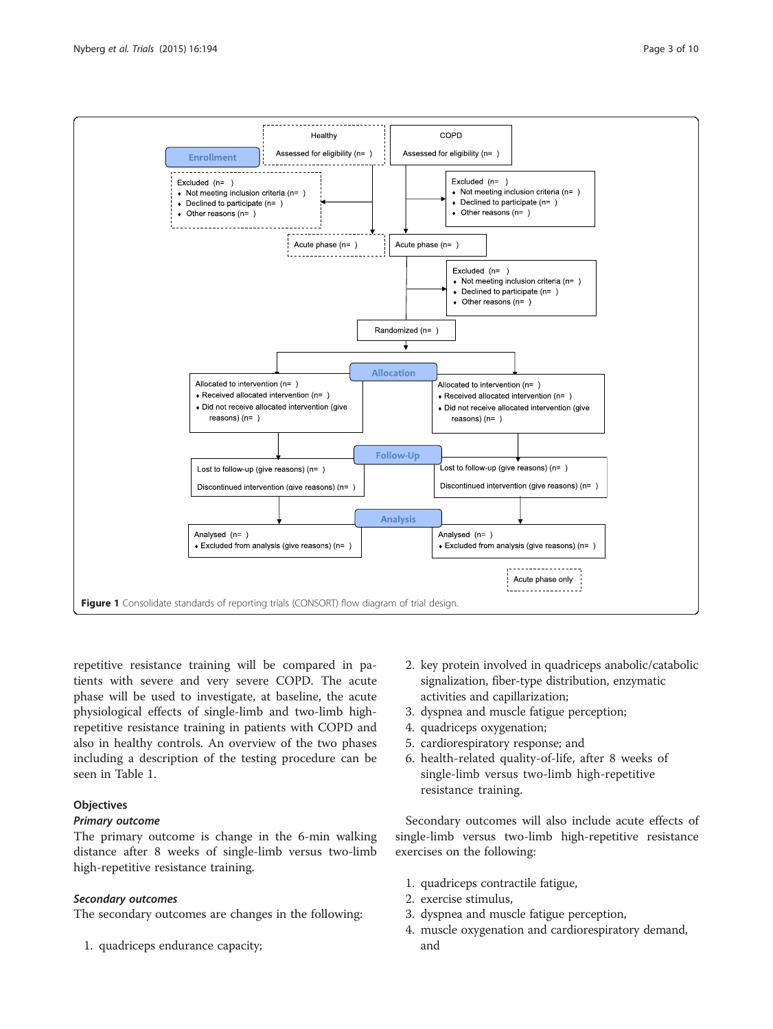<span id="page-2-0"></span>

repetitive resistance training will be compared in patients with severe and very severe COPD. The acute phase will be used to investigate, at baseline, the acute physiological effects of single-limb and two-limb highrepetitive resistance training in patients with COPD and also in healthy controls. An overview of the two phases including a description of the testing procedure can be seen in Table [1](#page-3-0).

# **Objectives**

# Primary outcome

The primary outcome is change in the 6-min walking distance after 8 weeks of single-limb versus two-limb high-repetitive resistance training.

# Secondary outcomes

The secondary outcomes are changes in the following:

1. quadriceps endurance capacity;

- 2. key protein involved in quadriceps anabolic/catabolic signalization, fiber-type distribution, enzymatic activities and capillarization;
- 3. dyspnea and muscle fatigue perception;
- 4. quadriceps oxygenation;
- 5. cardiorespiratory response; and
- 6. health-related quality-of-life, after 8 weeks of single-limb versus two-limb high-repetitive resistance training.

Secondary outcomes will also include acute effects of single-limb versus two-limb high-repetitive resistance exercises on the following:

- 1. quadriceps contractile fatigue,
- 2. exercise stimulus,
- 3. dyspnea and muscle fatigue perception,
- 4. muscle oxygenation and cardiorespiratory demand, and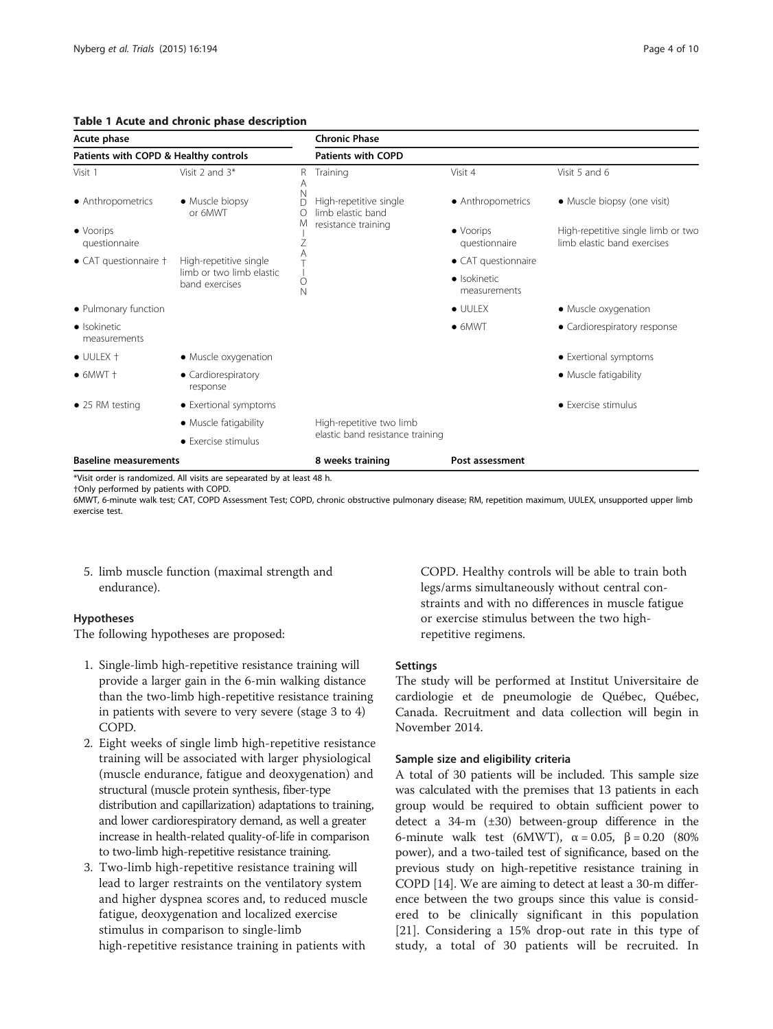# <span id="page-3-0"></span>Table 1 Acute and chronic phase description

| Acute phase<br>Patients with COPD & Healthy controls |                                                                      |        | <b>Chronic Phase</b>                        |                                    |                                                                   |
|------------------------------------------------------|----------------------------------------------------------------------|--------|---------------------------------------------|------------------------------------|-------------------------------------------------------------------|
|                                                      |                                                                      |        | <b>Patients with COPD</b>                   |                                    |                                                                   |
| Visit 1                                              | Visit 2 and 3*                                                       | R<br>Α | Training                                    | Visit 4                            | Visit 5 and 6                                                     |
| • Anthropometrics                                    | • Muscle biopsy<br>or 6MWT                                           | N<br>D | High-repetitive single<br>limb elastic band | • Anthropometrics                  | • Muscle biopsy (one visit)                                       |
| $\bullet$ Voorips<br>questionnaire                   |                                                                      | M<br>Ζ | resistance training                         | $\bullet$ Voorips<br>questionnaire | High-repetitive single limb or two<br>limb elastic band exercises |
| • CAT questionnaire †                                | High-repetitive single<br>limb or two limb elastic<br>band exercises | Ο<br>N |                                             | • CAT questionnaire                |                                                                   |
|                                                      |                                                                      |        |                                             | · Isokinetic<br>measurements       |                                                                   |
| • Pulmonary function                                 |                                                                      |        |                                             | $\bullet$ UULEX                    | • Muscle oxygenation                                              |
| · Isokinetic<br>measurements                         |                                                                      |        |                                             | $\bullet$ 6MWT                     | • Cardiorespiratory response                                      |
| $\bullet$ UULEX $\dagger$                            | • Muscle oxygenation                                                 |        |                                             |                                    | • Exertional symptoms                                             |
| $\bullet$ 6MWT $\dagger$                             | • Cardiorespiratory<br>response                                      |        |                                             |                                    | • Muscle fatigability                                             |
| $\bullet$ 25 RM testing                              | • Exertional symptoms                                                |        |                                             |                                    | • Exercise stimulus                                               |
|                                                      | • Muscle fatigability                                                |        | High-repetitive two limb                    |                                    |                                                                   |
|                                                      | • Exercise stimulus                                                  |        | elastic band resistance training            |                                    |                                                                   |
| <b>Baseline measurements</b>                         |                                                                      |        | 8 weeks training                            | Post assessment                    |                                                                   |

\*Visit order is randomized. All visits are sepearated by at least 48 h.

†Only performed by patients with COPD.

6MWT, 6-minute walk test; CAT, COPD Assessment Test; COPD, chronic obstructive pulmonary disease; RM, repetition maximum, UULEX, unsupported upper limb exercise test.

5. limb muscle function (maximal strength and endurance).

# Hypotheses

The following hypotheses are proposed:

- 1. Single-limb high-repetitive resistance training will provide a larger gain in the 6-min walking distance than the two-limb high-repetitive resistance training in patients with severe to very severe (stage 3 to 4) COPD.
- 2. Eight weeks of single limb high-repetitive resistance training will be associated with larger physiological (muscle endurance, fatigue and deoxygenation) and structural (muscle protein synthesis, fiber-type distribution and capillarization) adaptations to training, and lower cardiorespiratory demand, as well a greater increase in health-related quality-of-life in comparison to two-limb high-repetitive resistance training.
- 3. Two-limb high-repetitive resistance training will lead to larger restraints on the ventilatory system and higher dyspnea scores and, to reduced muscle fatigue, deoxygenation and localized exercise stimulus in comparison to single-limb high-repetitive resistance training in patients with

COPD. Healthy controls will be able to train both legs/arms simultaneously without central constraints and with no differences in muscle fatigue or exercise stimulus between the two highrepetitive regimens.

# **Settings**

The study will be performed at Institut Universitaire de cardiologie et de pneumologie de Québec, Québec, Canada. Recruitment and data collection will begin in November 2014.

# Sample size and eligibility criteria

A total of 30 patients will be included. This sample size was calculated with the premises that 13 patients in each group would be required to obtain sufficient power to detect a 34-m (±30) between-group difference in the 6-minute walk test (6MWT),  $\alpha = 0.05$ ,  $\beta = 0.20$  (80%) power), and a two-tailed test of significance, based on the previous study on high-repetitive resistance training in COPD [\[14\]](#page-8-0). We are aiming to detect at least a 30-m difference between the two groups since this value is considered to be clinically significant in this population [[21\]](#page-8-0). Considering a 15% drop-out rate in this type of study, a total of 30 patients will be recruited. In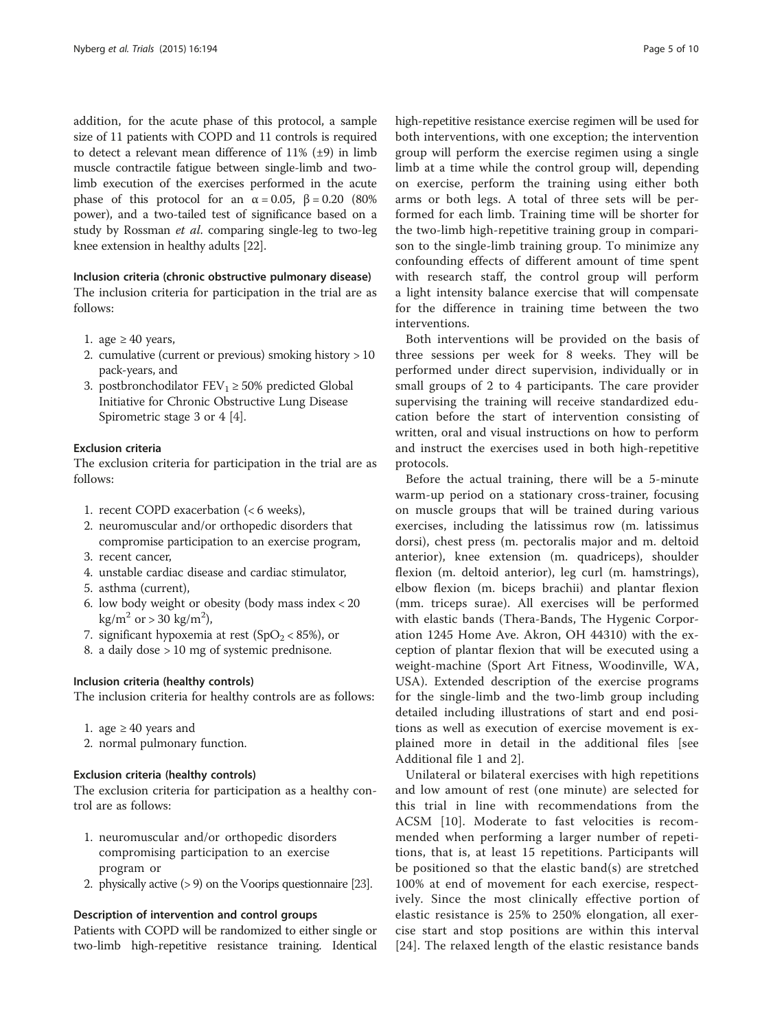addition, for the acute phase of this protocol, a sample size of 11 patients with COPD and 11 controls is required to detect a relevant mean difference of 11% (±9) in limb muscle contractile fatigue between single-limb and twolimb execution of the exercises performed in the acute phase of this protocol for an  $\alpha = 0.05$ ,  $\beta = 0.20$  (80%) power), and a two-tailed test of significance based on a study by Rossman et al. comparing single-leg to two-leg knee extension in healthy adults [\[22](#page-8-0)].

Inclusion criteria (chronic obstructive pulmonary disease) The inclusion criteria for participation in the trial are as follows:

- 1. age  $\geq 40$  years,
- 2. cumulative (current or previous) smoking history > 10 pack-years, and
- 3. postbronchodilator  $FEV_1 \ge 50\%$  predicted Global Initiative for Chronic Obstructive Lung Disease Spirometric stage 3 or 4 [[4\]](#page-8-0).

### Exclusion criteria

The exclusion criteria for participation in the trial are as follows:

- 1. recent COPD exacerbation (< 6 weeks),
- 2. neuromuscular and/or orthopedic disorders that compromise participation to an exercise program,
- 3. recent cancer,
- 4. unstable cardiac disease and cardiac stimulator,
- 5. asthma (current),
- 6. low body weight or obesity (body mass index < 20  $\text{kg/m}^2$  or > 30 kg/m<sup>2</sup>),
- 7. significant hypoxemia at rest ( $SpO<sub>2</sub> < 85$ %), or
- 8. a daily dose > 10 mg of systemic prednisone.

#### Inclusion criteria (healthy controls)

The inclusion criteria for healthy controls are as follows:

- 1. age ≥ 40 years and
- 2. normal pulmonary function.

# Exclusion criteria (healthy controls)

The exclusion criteria for participation as a healthy control are as follows:

- 1. neuromuscular and/or orthopedic disorders compromising participation to an exercise program or
- 2. physically active (> 9) on the Voorips questionnaire [\[23](#page-8-0)].

#### Description of intervention and control groups

Patients with COPD will be randomized to either single or two-limb high-repetitive resistance training. Identical

high-repetitive resistance exercise regimen will be used for both interventions, with one exception; the intervention group will perform the exercise regimen using a single limb at a time while the control group will, depending on exercise, perform the training using either both arms or both legs. A total of three sets will be performed for each limb. Training time will be shorter for the two-limb high-repetitive training group in comparison to the single-limb training group. To minimize any confounding effects of different amount of time spent with research staff, the control group will perform a light intensity balance exercise that will compensate for the difference in training time between the two interventions.

Both interventions will be provided on the basis of three sessions per week for 8 weeks. They will be performed under direct supervision, individually or in small groups of 2 to 4 participants. The care provider supervising the training will receive standardized education before the start of intervention consisting of written, oral and visual instructions on how to perform and instruct the exercises used in both high-repetitive protocols.

Before the actual training, there will be a 5-minute warm-up period on a stationary cross-trainer, focusing on muscle groups that will be trained during various exercises, including the latissimus row (m. latissimus dorsi), chest press (m. pectoralis major and m. deltoid anterior), knee extension (m. quadriceps), shoulder flexion (m. deltoid anterior), leg curl (m. hamstrings), elbow flexion (m. biceps brachii) and plantar flexion (mm. triceps surae). All exercises will be performed with elastic bands (Thera-Bands, The Hygenic Corporation 1245 Home Ave. Akron, OH 44310) with the exception of plantar flexion that will be executed using a weight-machine (Sport Art Fitness, Woodinville, WA, USA). Extended description of the exercise programs for the single-limb and the two-limb group including detailed including illustrations of start and end positions as well as execution of exercise movement is explained more in detail in the additional files [see Additional file [1](#page-7-0) and [2\]](#page-8-0).

Unilateral or bilateral exercises with high repetitions and low amount of rest (one minute) are selected for this trial in line with recommendations from the ACSM [[10](#page-8-0)]. Moderate to fast velocities is recommended when performing a larger number of repetitions, that is, at least 15 repetitions. Participants will be positioned so that the elastic band(s) are stretched 100% at end of movement for each exercise, respectively. Since the most clinically effective portion of elastic resistance is 25% to 250% elongation, all exercise start and stop positions are within this interval [[24](#page-8-0)]. The relaxed length of the elastic resistance bands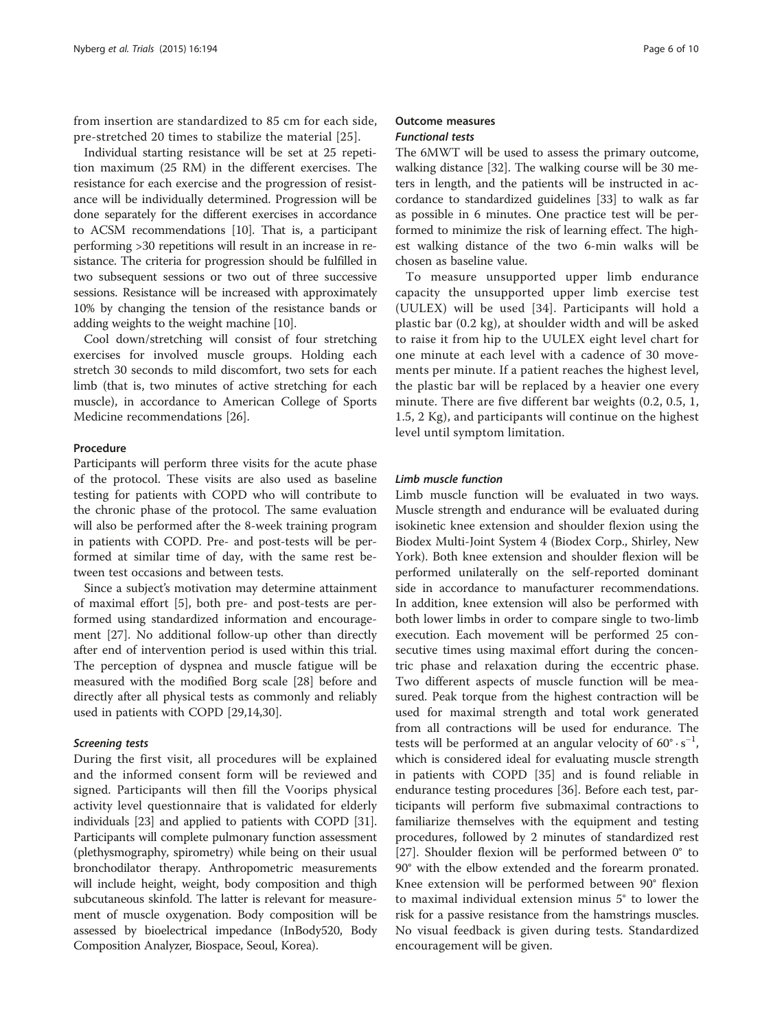from insertion are standardized to 85 cm for each side, pre-stretched 20 times to stabilize the material [\[25](#page-8-0)].

Individual starting resistance will be set at 25 repetition maximum (25 RM) in the different exercises. The resistance for each exercise and the progression of resistance will be individually determined. Progression will be done separately for the different exercises in accordance to ACSM recommendations [[10](#page-8-0)]. That is, a participant performing >30 repetitions will result in an increase in resistance. The criteria for progression should be fulfilled in two subsequent sessions or two out of three successive sessions. Resistance will be increased with approximately 10% by changing the tension of the resistance bands or adding weights to the weight machine [[10](#page-8-0)].

Cool down/stretching will consist of four stretching exercises for involved muscle groups. Holding each stretch 30 seconds to mild discomfort, two sets for each limb (that is, two minutes of active stretching for each muscle), in accordance to American College of Sports Medicine recommendations [\[26](#page-8-0)].

#### Procedure

Participants will perform three visits for the acute phase of the protocol. These visits are also used as baseline testing for patients with COPD who will contribute to the chronic phase of the protocol. The same evaluation will also be performed after the 8-week training program in patients with COPD. Pre- and post-tests will be performed at similar time of day, with the same rest between test occasions and between tests.

Since a subject's motivation may determine attainment of maximal effort [\[5](#page-8-0)], both pre- and post-tests are performed using standardized information and encouragement [[27](#page-8-0)]. No additional follow-up other than directly after end of intervention period is used within this trial. The perception of dyspnea and muscle fatigue will be measured with the modified Borg scale [[28\]](#page-8-0) before and directly after all physical tests as commonly and reliably used in patients with COPD [\[29,14,30](#page-8-0)].

#### Screening tests

During the first visit, all procedures will be explained and the informed consent form will be reviewed and signed. Participants will then fill the Voorips physical activity level questionnaire that is validated for elderly individuals [\[23](#page-8-0)] and applied to patients with COPD [[31](#page-8-0)]. Participants will complete pulmonary function assessment (plethysmography, spirometry) while being on their usual bronchodilator therapy. Anthropometric measurements will include height, weight, body composition and thigh subcutaneous skinfold. The latter is relevant for measurement of muscle oxygenation. Body composition will be assessed by bioelectrical impedance (InBody520, Body Composition Analyzer, Biospace, Seoul, Korea).

#### Outcome measures Functional tests

The 6MWT will be used to assess the primary outcome, walking distance [[32](#page-9-0)]. The walking course will be 30 meters in length, and the patients will be instructed in accordance to standardized guidelines [[33](#page-9-0)] to walk as far as possible in 6 minutes. One practice test will be performed to minimize the risk of learning effect. The highest walking distance of the two 6-min walks will be chosen as baseline value.

To measure unsupported upper limb endurance capacity the unsupported upper limb exercise test (UULEX) will be used [[34](#page-9-0)]. Participants will hold a plastic bar (0.2 kg), at shoulder width and will be asked to raise it from hip to the UULEX eight level chart for one minute at each level with a cadence of 30 movements per minute. If a patient reaches the highest level, the plastic bar will be replaced by a heavier one every minute. There are five different bar weights (0.2, 0.5, 1, 1.5, 2 Kg), and participants will continue on the highest level until symptom limitation.

#### Limb muscle function

Limb muscle function will be evaluated in two ways. Muscle strength and endurance will be evaluated during isokinetic knee extension and shoulder flexion using the Biodex Multi-Joint System 4 (Biodex Corp., Shirley, New York). Both knee extension and shoulder flexion will be performed unilaterally on the self-reported dominant side in accordance to manufacturer recommendations. In addition, knee extension will also be performed with both lower limbs in order to compare single to two-limb execution. Each movement will be performed 25 consecutive times using maximal effort during the concentric phase and relaxation during the eccentric phase. Two different aspects of muscle function will be measured. Peak torque from the highest contraction will be used for maximal strength and total work generated from all contractions will be used for endurance. The tests will be performed at an angular velocity of  $60^{\circ} \cdot s^{-1}$ , which is considered ideal for evaluating muscle strength in patients with COPD [\[35\]](#page-9-0) and is found reliable in endurance testing procedures [[36](#page-9-0)]. Before each test, participants will perform five submaximal contractions to familiarize themselves with the equipment and testing procedures, followed by 2 minutes of standardized rest [[27\]](#page-8-0). Shoulder flexion will be performed between 0° to 90° with the elbow extended and the forearm pronated. Knee extension will be performed between 90° flexion to maximal individual extension minus 5° to lower the risk for a passive resistance from the hamstrings muscles. No visual feedback is given during tests. Standardized encouragement will be given.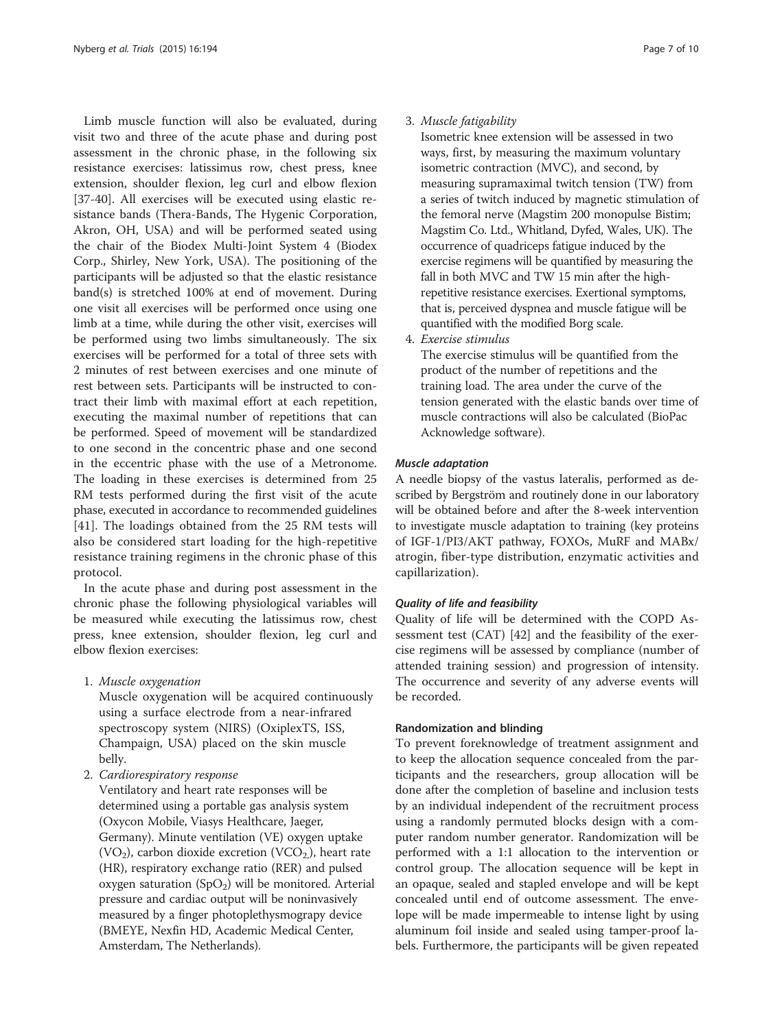Limb muscle function will also be evaluated, during visit two and three of the acute phase and during post assessment in the chronic phase, in the following six resistance exercises: latissimus row, chest press, knee extension, shoulder flexion, leg curl and elbow flexion [[37-40](#page-9-0)]. All exercises will be executed using elastic resistance bands (Thera-Bands, The Hygenic Corporation, Akron, OH, USA) and will be performed seated using the chair of the Biodex Multi-Joint System 4 (Biodex Corp., Shirley, New York, USA). The positioning of the participants will be adjusted so that the elastic resistance band(s) is stretched 100% at end of movement. During one visit all exercises will be performed once using one limb at a time, while during the other visit, exercises will be performed using two limbs simultaneously. The six exercises will be performed for a total of three sets with 2 minutes of rest between exercises and one minute of rest between sets. Participants will be instructed to contract their limb with maximal effort at each repetition, executing the maximal number of repetitions that can be performed. Speed of movement will be standardized to one second in the concentric phase and one second in the eccentric phase with the use of a Metronome. The loading in these exercises is determined from 25 RM tests performed during the first visit of the acute phase, executed in accordance to recommended guidelines [[41\]](#page-9-0). The loadings obtained from the 25 RM tests will also be considered start loading for the high-repetitive resistance training regimens in the chronic phase of this protocol.

In the acute phase and during post assessment in the chronic phase the following physiological variables will be measured while executing the latissimus row, chest press, knee extension, shoulder flexion, leg curl and elbow flexion exercises:

1. Muscle oxygenation

Muscle oxygenation will be acquired continuously using a surface electrode from a near-infrared spectroscopy system (NIRS) (OxiplexTS, ISS, Champaign, USA) placed on the skin muscle belly.

2. Cardiorespiratory response

Ventilatory and heart rate responses will be determined using a portable gas analysis system (Oxycon Mobile, Viasys Healthcare, Jaeger, Germany). Minute ventilation (VE) oxygen uptake  $(VO_2)$ , carbon dioxide excretion  $(VCO_2)$ , heart rate (HR), respiratory exchange ratio (RER) and pulsed oxygen saturation  $(SpO<sub>2</sub>)$  will be monitored. Arterial pressure and cardiac output will be noninvasively measured by a finger photoplethysmograpy device (BMEYE, Nexfin HD, Academic Medical Center, Amsterdam, The Netherlands).

#### 3. Muscle fatigability

Isometric knee extension will be assessed in two ways, first, by measuring the maximum voluntary isometric contraction (MVC), and second, by measuring supramaximal twitch tension (TW) from a series of twitch induced by magnetic stimulation of the femoral nerve (Magstim 200 monopulse Bistim; Magstim Co. Ltd., Whitland, Dyfed, Wales, UK). The occurrence of quadriceps fatigue induced by the exercise regimens will be quantified by measuring the fall in both MVC and TW 15 min after the highrepetitive resistance exercises. Exertional symptoms, that is, perceived dyspnea and muscle fatigue will be quantified with the modified Borg scale.

4. Exercise stimulus

The exercise stimulus will be quantified from the product of the number of repetitions and the training load. The area under the curve of the tension generated with the elastic bands over time of muscle contractions will also be calculated (BioPac Acknowledge software).

#### Muscle adaptation

A needle biopsy of the vastus lateralis, performed as described by Bergström and routinely done in our laboratory will be obtained before and after the 8-week intervention to investigate muscle adaptation to training (key proteins of IGF-1/PI3/AKT pathway, FOXOs, MuRF and MABx/ atrogin, fiber-type distribution, enzymatic activities and capillarization).

#### Quality of life and feasibility

Quality of life will be determined with the COPD Assessment test (CAT) [\[42](#page-9-0)] and the feasibility of the exercise regimens will be assessed by compliance (number of attended training session) and progression of intensity. The occurrence and severity of any adverse events will be recorded.

#### Randomization and blinding

To prevent foreknowledge of treatment assignment and to keep the allocation sequence concealed from the participants and the researchers, group allocation will be done after the completion of baseline and inclusion tests by an individual independent of the recruitment process using a randomly permuted blocks design with a computer random number generator. Randomization will be performed with a 1:1 allocation to the intervention or control group. The allocation sequence will be kept in an opaque, sealed and stapled envelope and will be kept concealed until end of outcome assessment. The envelope will be made impermeable to intense light by using aluminum foil inside and sealed using tamper-proof labels. Furthermore, the participants will be given repeated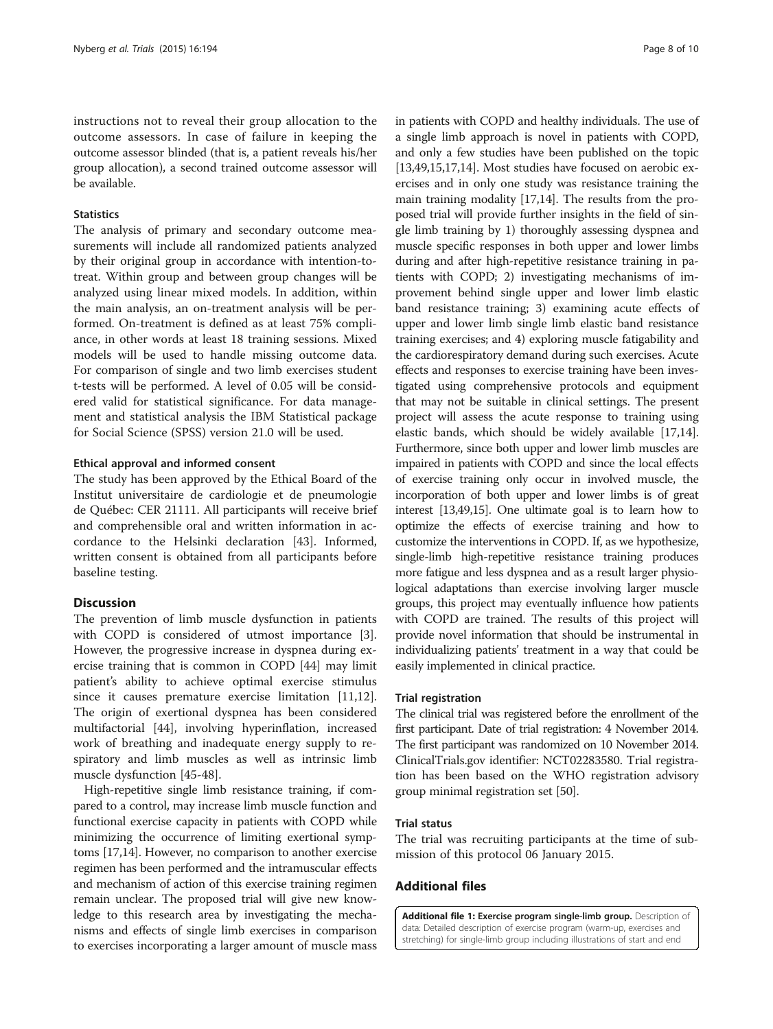<span id="page-7-0"></span>instructions not to reveal their group allocation to the outcome assessors. In case of failure in keeping the outcome assessor blinded (that is, a patient reveals his/her group allocation), a second trained outcome assessor will be available.

#### **Statistics**

The analysis of primary and secondary outcome measurements will include all randomized patients analyzed by their original group in accordance with intention-totreat. Within group and between group changes will be analyzed using linear mixed models. In addition, within the main analysis, an on-treatment analysis will be performed. On-treatment is defined as at least 75% compliance, in other words at least 18 training sessions. Mixed models will be used to handle missing outcome data. For comparison of single and two limb exercises student t-tests will be performed. A level of 0.05 will be considered valid for statistical significance. For data management and statistical analysis the IBM Statistical package for Social Science (SPSS) version 21.0 will be used.

#### Ethical approval and informed consent

The study has been approved by the Ethical Board of the Institut universitaire de cardiologie et de pneumologie de Québec: CER 21111. All participants will receive brief and comprehensible oral and written information in accordance to the Helsinki declaration [[43\]](#page-9-0). Informed, written consent is obtained from all participants before baseline testing.

#### **Discussion**

The prevention of limb muscle dysfunction in patients with COPD is considered of utmost importance [\[3](#page-8-0)]. However, the progressive increase in dyspnea during exercise training that is common in COPD [\[44](#page-9-0)] may limit patient's ability to achieve optimal exercise stimulus since it causes premature exercise limitation [\[11,12](#page-8-0)]. The origin of exertional dyspnea has been considered multifactorial [\[44](#page-9-0)], involving hyperinflation, increased work of breathing and inadequate energy supply to respiratory and limb muscles as well as intrinsic limb muscle dysfunction [\[45-48](#page-9-0)].

High-repetitive single limb resistance training, if compared to a control, may increase limb muscle function and functional exercise capacity in patients with COPD while minimizing the occurrence of limiting exertional symptoms [\[17,14\]](#page-8-0). However, no comparison to another exercise regimen has been performed and the intramuscular effects and mechanism of action of this exercise training regimen remain unclear. The proposed trial will give new knowledge to this research area by investigating the mechanisms and effects of single limb exercises in comparison to exercises incorporating a larger amount of muscle mass in patients with COPD and healthy individuals. The use of a single limb approach is novel in patients with COPD, and only a few studies have been published on the topic [[13](#page-8-0)[,49](#page-9-0)[,15,17,14](#page-8-0)]. Most studies have focused on aerobic exercises and in only one study was resistance training the main training modality [\[17,14](#page-8-0)]. The results from the proposed trial will provide further insights in the field of single limb training by 1) thoroughly assessing dyspnea and muscle specific responses in both upper and lower limbs during and after high-repetitive resistance training in patients with COPD; 2) investigating mechanisms of improvement behind single upper and lower limb elastic band resistance training; 3) examining acute effects of upper and lower limb single limb elastic band resistance training exercises; and 4) exploring muscle fatigability and the cardiorespiratory demand during such exercises. Acute effects and responses to exercise training have been investigated using comprehensive protocols and equipment that may not be suitable in clinical settings. The present project will assess the acute response to training using elastic bands, which should be widely available [\[17,14](#page-8-0)]. Furthermore, since both upper and lower limb muscles are impaired in patients with COPD and since the local effects of exercise training only occur in involved muscle, the incorporation of both upper and lower limbs is of great interest [\[13,](#page-8-0)[49](#page-9-0)[,15\]](#page-8-0). One ultimate goal is to learn how to optimize the effects of exercise training and how to customize the interventions in COPD. If, as we hypothesize, single-limb high-repetitive resistance training produces more fatigue and less dyspnea and as a result larger physiological adaptations than exercise involving larger muscle groups, this project may eventually influence how patients with COPD are trained. The results of this project will provide novel information that should be instrumental in individualizing patients' treatment in a way that could be easily implemented in clinical practice.

#### Trial registration

The clinical trial was registered before the enrollment of the first participant. Date of trial registration: 4 November 2014. The first participant was randomized on 10 November 2014. ClinicalTrials.gov identifier: NCT02283580. Trial registration has been based on the WHO registration advisory group minimal registration set [[50](#page-9-0)].

# Trial status

The trial was recruiting participants at the time of submission of this protocol 06 January 2015.

# Additional files

[Additional file 1:](http://www.trialsjournal.com/content/supplementary/s13063-015-0698-x-s1.pdf) Exercise program single-limb group. Description of data: Detailed description of exercise program (warm-up, exercises and stretching) for single-limb group including illustrations of start and end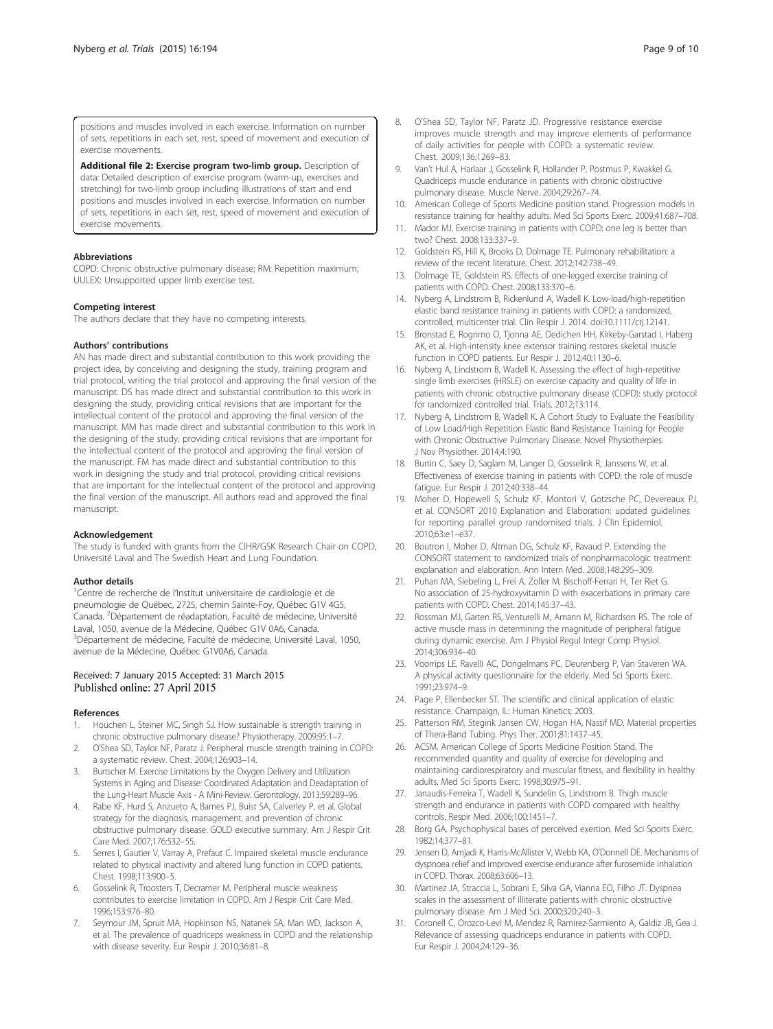<span id="page-8-0"></span>positions and muscles involved in each exercise. Information on number of sets, repetitions in each set, rest, speed of movement and execution of exercise movements.

[Additional file 2:](http://www.trialsjournal.com/content/supplementary/s13063-015-0698-x-s2.pdf) Exercise program two-limb group. Description of data: Detailed description of exercise program (warm-up, exercises and stretching) for two-limb group including illustrations of start and end positions and muscles involved in each exercise. Information on number of sets, repetitions in each set, rest, speed of movement and execution of exercise movements.

#### Abbreviations

COPD: Chronic obstructive pulmonary disease; RM: Repetition maximum; UULEX: Unsupported upper limb exercise test.

#### Competing interest

The authors declare that they have no competing interests.

#### Authors' contributions

AN has made direct and substantial contribution to this work providing the project idea, by conceiving and designing the study, training program and trial protocol, writing the trial protocol and approving the final version of the manuscript. DS has made direct and substantial contribution to this work in designing the study, providing critical revisions that are important for the intellectual content of the protocol and approving the final version of the manuscript. MM has made direct and substantial contribution to this work in the designing of the study, providing critical revisions that are important for the intellectual content of the protocol and approving the final version of the manuscript. FM has made direct and substantial contribution to this work in designing the study and trial protocol, providing critical revisions that are important for the intellectual content of the protocol and approving the final version of the manuscript. All authors read and approved the final manuscript.

#### Acknowledgement

The study is funded with grants from the CIHR/GSK Research Chair on COPD, Université Laval and The Swedish Heart and Lung Foundation.

#### Author details

<sup>1</sup>Centre de recherche de l'Institut universitaire de cardiologie et de pneumologie de Québec, 2725, chemin Sainte-Foy, Québec G1V 4G5, .<br>Canada. <sup>2</sup>Département de réadaptation, Faculté de médecine, Université Laval, 1050, avenue de la Médecine, Québec G1V 0A6, Canada. <sup>3</sup>Département de médecine, Faculté de médecine, Université Laval, 1050, avenue de la Médecine, Québec G1V0A6, Canada.

#### Received: 7 January 2015 Accepted: 31 March 2015 Published online: 27 April 2015

#### References

- 1. Houchen L, Steiner MC, Singh SJ. How sustainable is strength training in chronic obstructive pulmonary disease? Physiotherapy. 2009;95:1–7.
- 2. O'Shea SD, Taylor NF, Paratz J. Peripheral muscle strength training in COPD: a systematic review. Chest. 2004;126:903–14.
- 3. Burtscher M. Exercise Limitations by the Oxygen Delivery and Utilization Systems in Aging and Disease: Coordinated Adaptation and Deadaptation of the Lung-Heart Muscle Axis - A Mini-Review. Gerontology. 2013;59:289–96.
- 4. Rabe KF, Hurd S, Anzueto A, Barnes PJ, Buist SA, Calverley P, et al. Global strategy for the diagnosis, management, and prevention of chronic obstructive pulmonary disease: GOLD executive summary. Am J Respir Crit Care Med. 2007;176:532–55.
- 5. Serres I, Gautier V, Varray A, Prefaut C. Impaired skeletal muscle endurance related to physical inactivity and altered lung function in COPD patients. Chest. 1998;113:900–5.
- 6. Gosselink R, Troosters T, Decramer M. Peripheral muscle weakness contributes to exercise limitation in COPD. Am J Respir Crit Care Med. 1996;153:976–80.
- 7. Seymour JM, Spruit MA, Hopkinson NS, Natanek SA, Man WD, Jackson A, et al. The prevalence of quadriceps weakness in COPD and the relationship with disease severity. Eur Respir J. 2010;36:81–8.
- O'Shea SD, Taylor NF, Paratz JD. Progressive resistance exercise improves muscle strength and may improve elements of performance of daily activities for people with COPD: a systematic review. Chest. 2009;136:1269–83.
- 9. Van't Hul A, Harlaar J, Gosselink R, Hollander P, Postmus P, Kwakkel G. Quadriceps muscle endurance in patients with chronic obstructive pulmonary disease. Muscle Nerve. 2004;29:267–74.
- 10. American College of Sports Medicine position stand. Progression models in resistance training for healthy adults. Med Sci Sports Exerc. 2009;41:687–708.
- 11. Mador MJ. Exercise training in patients with COPD: one leg is better than two? Chest. 2008;133:337–9.
- 12. Goldstein RS, Hill K, Brooks D, Dolmage TE. Pulmonary rehabilitation: a review of the recent literature. Chest. 2012;142:738–49.
- 13. Dolmage TE, Goldstein RS. Effects of one-legged exercise training of patients with COPD. Chest. 2008;133:370–6.
- 14. Nyberg A, Lindstrom B, Rickenlund A, Wadell K. Low-load/high-repetition elastic band resistance training in patients with COPD: a randomized, controlled, multicenter trial. Clin Respir J. 2014. doi:10.1111/crj.12141.
- 15. Bronstad E, Rognmo O, Tjonna AE, Dedichen HH, Kirkeby-Garstad I, Haberg AK, et al. High-intensity knee extensor training restores skeletal muscle function in COPD patients. Eur Respir J. 2012;40:1130–6.
- 16. Nyberg A, Lindstrom B, Wadell K. Assessing the effect of high-repetitive single limb exercises (HRSLE) on exercise capacity and quality of life in patients with chronic obstructive pulmonary disease (COPD): study protocol for randomized controlled trial. Trials. 2012;13:114.
- 17. Nyberg A, Lindstrom B, Wadell K. A Cohort Study to Evaluate the Feasibility of Low Load/High Repetition Elastic Band Resistance Training for People with Chronic Obstructive Pulmonary Disease. Novel Physiotherpies. J Nov Physiother. 2014;4:190.
- 18. Burtin C, Saey D, Saglam M, Langer D, Gosselink R, Janssens W, et al. Effectiveness of exercise training in patients with COPD: the role of muscle fatigue. Eur Respir J. 2012;40:338–44.
- 19. Moher D, Hopewell S, Schulz KF, Montori V, Gotzsche PC, Devereaux PJ, et al. CONSORT 2010 Explanation and Elaboration: updated guidelines for reporting parallel group randomised trials. J Clin Epidemiol. 2010;63:e1–e37.
- 20. Boutron I, Moher D, Altman DG, Schulz KF, Ravaud P. Extending the CONSORT statement to randomized trials of nonpharmacologic treatment: explanation and elaboration. Ann Intern Med. 2008;148:295–309.
- 21. Puhan MA, Siebeling L, Frei A, Zoller M, Bischoff-Ferrari H, Ter Riet G. No association of 25-hydroxyvitamin D with exacerbations in primary care patients with COPD. Chest. 2014;145:37–43.
- 22. Rossman MJ, Garten RS, Venturelli M, Amann M, Richardson RS. The role of active muscle mass in determining the magnitude of peripheral fatigue during dynamic exercise. Am J Physiol Regul Integr Comp Physiol. 2014;306:934–40.
- 23. Voorrips LE, Ravelli AC, Dongelmans PC, Deurenberg P, Van Staveren WA. A physical activity questionnaire for the elderly. Med Sci Sports Exerc. 1991;23:974–9.
- 24. Page P, Ellenbecker ST. The scientific and clinical application of elastic resistance. Champaign, IL: Human Kinetics; 2003.
- 25. Patterson RM, Stegink Jansen CW, Hogan HA, Nassif MD. Material properties of Thera-Band Tubing. Phys Ther. 2001;81:1437–45.
- 26. ACSM. American College of Sports Medicine Position Stand. The recommended quantity and quality of exercise for developing and maintaining cardiorespiratory and muscular fitness, and flexibility in healthy adults. Med Sci Sports Exerc. 1998;30:975–91.
- 27. Janaudis-Ferreira T, Wadell K, Sundelin G, Lindstrom B. Thigh muscle strength and endurance in patients with COPD compared with healthy controls. Respir Med. 2006;100:1451–7.
- 28. Borg GA. Psychophysical bases of perceived exertion. Med Sci Sports Exerc. 1982;14:377–81.
- 29. Jensen D, Amjadi K, Harris-McAllister V, Webb KA, O'Donnell DE. Mechanisms of dyspnoea relief and improved exercise endurance after furosemide inhalation in COPD. Thorax. 2008;63:606–13.
- 30. Martinez JA, Straccia L, Sobrani E, Silva GA, Vianna EO, Filho JT. Dyspnea scales in the assessment of illiterate patients with chronic obstructive pulmonary disease. Am J Med Sci. 2000;320:240–3.
- 31. Coronell C, Orozco-Levi M, Mendez R, Ramirez-Sarmiento A, Galdiz JB, Gea J. Relevance of assessing quadriceps endurance in patients with COPD. Eur Respir J. 2004;24:129–36.